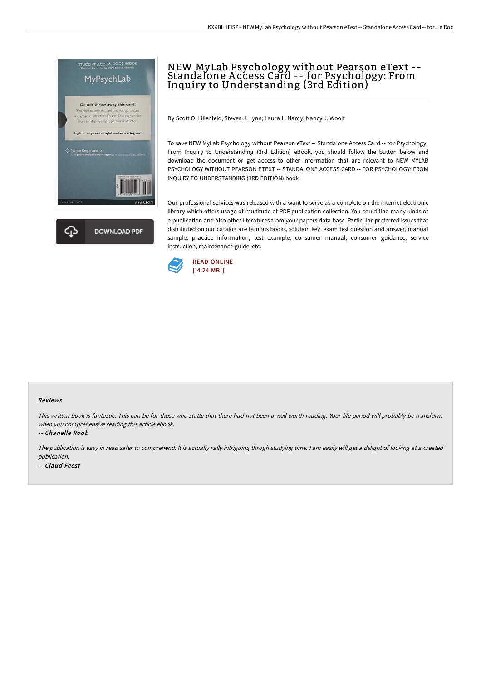

# NEW MyLab Psychology without Pearson eText -- Standalone A ccess Card -- for Psychology: From Inquiry to Understanding (3rd Edition)

By Scott O. Lilienfeld; Steven J. Lynn; Laura L. Namy; Nancy J. Woolf

To save NEW MyLab Psychology without Pearson eText -- Standalone Access Card -- for Psychology: From Inquiry to Understanding (3rd Edition) eBook, you should follow the button below and download the document or get access to other information that are relevant to NEW MYLAB PSYCHOLOGY WITHOUT PEARSON ETEXT -- STANDALONE ACCESS CARD -- FOR PSYCHOLOGY: FROM INQUIRY TO UNDERSTANDING (3RD EDITION) book.

Our professional services was released with a want to serve as a complete on the internet electronic library which offers usage of multitude of PDF publication collection. You could find many kinds of e-publication and also other literatures from your papers data base. Particular preferred issues that distributed on our catalog are famous books, solution key, exam test question and answer, manual sample, practice information, test example, consumer manual, consumer guidance, service instruction, maintenance guide, etc.



#### Reviews

This written book is fantastic. This can be for those who statte that there had not been <sup>a</sup> well worth reading. Your life period will probably be transform when you comprehensive reading this article ebook.

-- Chanelle Roob

The publication is easy in read safer to comprehend. It is actually rally intriguing throgh studying time. <sup>I</sup> am easily will get <sup>a</sup> delight of looking at <sup>a</sup> created publication. -- Claud Feest